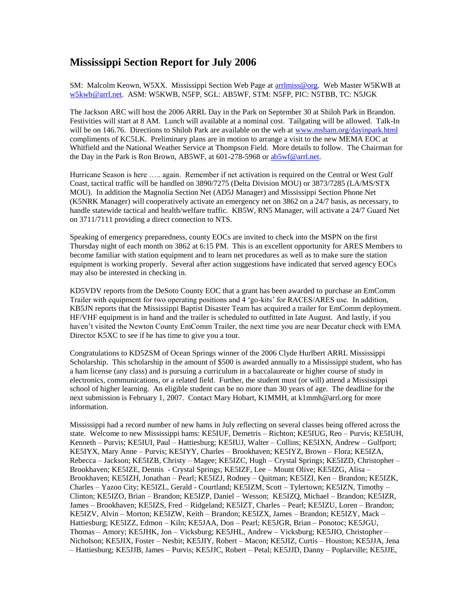## **Mississippi Section Report for July 2006**

SM: Malcolm Keown, W5XX. Mississippi Section Web Page at [arrlmiss@org.](mailto:arrlmiss@org) Web Master W5KWB at [w5kwb@arrl.net.](mailto:w5kwb@arrl.net) ASM: W5KWB, N5FP, SGL: AB5WF, STM: N5FP, PIC: N5TBB, TC: N5JGK

The Jackson ARC will host the 2006 ARRL Day in the Park on September 30 at Shiloh Park in Brandon. Festivities will start at 8 AM. Lunch will available at a nominal cost. Tailgating will be allowed. Talk-In will be on 146.76. Directions to Shiloh Park are available on the web at [www.msham.org/dayinpark.html](http://www.msham.org/dayinpark.html) compliments of KC5LK. Preliminary plans are in motion to arrange a visit to the new MEMA EOC at Whitfield and the National Weather Service at Thompson Field. More details to follow. The Chairman for the Day in the Park is Ron Brown, AB5WF, at 601-278-5968 or [ab5wf@arrl.net.](mailto:ab5wf@arrl.net)

Hurricane Season is here ….. again. Remember if net activation is required on the Central or West Gulf Coast, tactical traffic will be handled on 3890/7275 (Delta Division MOU) or 3873/7285 (LA/MS/STX MOU). In addition the Magnolia Section Net (AD5J Manager) and Mississippi Section Phone Net (K5NRK Manager) will cooperatively activate an emergency net on 3862 on a 24/7 basis, as necessary, to handle statewide tactical and health/welfare traffic. KB5W, RN5 Manager, will activate a 24/7 Guard Net on 3711/7111 providing a direct connection to NTS.

Speaking of emergency preparedness, county EOCs are invited to check into the MSPN on the first Thursday night of each month on 3862 at 6:15 PM. This is an excellent opportunity for ARES Members to become familiar with station equipment and to learn net procedures as well as to make sure the station equipment is working properly. Several after action suggestions have indicated that served agency EOCs may also be interested in checking in.

KD5VDV reports from the DeSoto County EOC that a grant has been awarded to purchase an EmComm Trailer with equipment for two operating positions and 4 'go-kits' for RACES/ARES use. In addition, KB5JN reports that the Mississippi Baptist Disaster Team has acquired a trailer for EmComm deployment. HF/VHF equipment is in hand and the trailer is scheduled to outfitted in late August. And lastly, if you haven't visited the Newton County EmComm Trailer, the next time you are near Decatur check with EMA Director K5XC to see if he has time to give you a tour.

Congratulations to KD5ZSM of Ocean Springs winner of the 2006 Clyde Hurlbert ARRL Mississippi Scholarship. This scholarship in the amount of \$500 is awarded annually to a Mississippi student, who has a ham license (any class) and is pursuing a curriculum in a baccalaureate or higher course of study in electronics, communications, or a related field. Further, the student must (or will) attend a Mississippi school of higher learning. An eligible student can be no more than 30 years of age. The deadline for the next submission is February 1, 2007. Contact Mary Hobart, K1MMH, at k1mmh@arrl.org for more information.

Mississippi had a record number of new hams in July reflecting on several classes being offered across the state. Welcome to new Mississippi hams: KE5IUF, Demetris – Richton; KE5IUG, Reo – Purvis; KE5IUH, Kenneth – Purvis; KE5IUI, Paul – Hattiesburg; KE5IUJ, Walter – Collins; KE5IXN, Andrew – Gulfport; KE5IYX, Mary Anne – Purvis; KE5IYY, Charles – Brookhaven; KE5IYZ, Brown – Flora; KE5IZA, Rebecca – Jackson; KE5IZB, Christy – Magee; KE5IZC, Hugh – Crystal Springs; KE5IZD, Christopher – Brookhaven; KE5IZE, Dennis - Crystal Springs; KE5IZF, Lee – Mount Olive; KE5IZG, Alisa – Brookhaven; KE5IZH, Jonathan – Pearl; KE5IZJ, Rodney – Quitman; KE5IZI, Ken – Brandon; KE5IZK, Charles – Yazoo City; KE5IZL, Gerald - Courtland; KE5IZM, Scott – Tylertown; KE5IZN, Timothy – Clinton; KE5IZO, Brian – Brandon; KE5IZP, Daniel – Wesson; KE5IZQ, Michael – Brandon; KE5IZR, James – Brookhaven; KE5IZS, Fred – Ridgeland; KE5IZT, Charles – Pearl; KE5IZU, Loren – Brandon; KE5IZV, Alvin – Morton; KE5IZW, Keith – Brandon; KE5IZX, James – Brandon; KE5IZY, Mack – Hattiesburg; KE5IZZ, Edmon – Kiln; KE5JAA, Don – Pearl; KE5JGR, Brian – Ponotoc; KE5JGU, Thomas – Amory; KE5JHK, Jon – Vicksburg; KE5JHL, Andrew – Vicksburg; KE5JIO, Christopher – Nicholson; KE5JIX, Foster – Nesbit; KE5JIY, Robert – Macon; KE5JIZ, Curtis – Houston; KE5JJA, Jena – Hattiesburg; KE5JJB, James – Purvis; KE5JJC, Robert – Petal; KE5JJD, Danny – Poplarville; KE5JJE,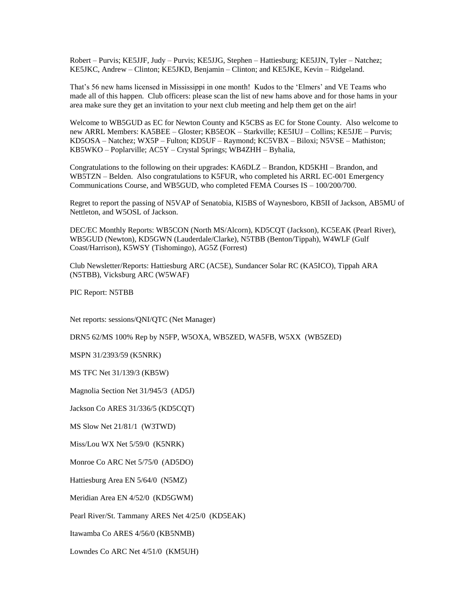Robert – Purvis; KE5JJF, Judy – Purvis; KE5JJG, Stephen – Hattiesburg; KE5JJN, Tyler – Natchez; KE5JKC, Andrew – Clinton; KE5JKD, Benjamin – Clinton; and KE5JKE, Kevin – Ridgeland.

That's 56 new hams licensed in Mississippi in one month! Kudos to the 'Elmers' and VE Teams who made all of this happen. Club officers: please scan the list of new hams above and for those hams in your area make sure they get an invitation to your next club meeting and help them get on the air!

Welcome to WB5GUD as EC for Newton County and K5CBS as EC for Stone County. Also welcome to new ARRL Members: KA5BEE – Gloster; KB5EOK – Starkville; KE5IUJ – Collins; KE5JJE – Purvis; KD5OSA – Natchez; WX5P – Fulton; KD5UF – Raymond; KC5VBX – Biloxi; N5VSE – Mathiston; KB5WKO – Poplarville; AC5Y – Crystal Springs; WB4ZHH – Byhalia,

Congratulations to the following on their upgrades: KA6DLZ – Brandon, KD5KHI – Brandon, and WB5TZN – Belden. Also congratulations to K5FUR, who completed his ARRL EC-001 Emergency Communications Course, and WB5GUD, who completed FEMA Courses IS – 100/200/700.

Regret to report the passing of N5VAP of Senatobia, KI5BS of Waynesboro, KB5II of Jackson, AB5MU of Nettleton, and W5OSL of Jackson.

DEC/EC Monthly Reports: WB5CON (North MS/Alcorn), KD5CQT (Jackson), KC5EAK (Pearl River), WB5GUD (Newton), KD5GWN (Lauderdale/Clarke), N5TBB (Benton/Tippah), W4WLF (Gulf Coast/Harrison), K5WSY (Tishomingo), AG5Z (Forrest)

Club Newsletter/Reports: Hattiesburg ARC (AC5E), Sundancer Solar RC (KA5ICO), Tippah ARA (N5TBB), Vicksburg ARC (W5WAF)

PIC Report: N5TBB

Net reports: sessions/QNI/QTC (Net Manager)

DRN5 62/MS 100% Rep by N5FP, W5OXA, WB5ZED, WA5FB, W5XX (WB5ZED)

MSPN 31/2393/59 (K5NRK)

MS TFC Net 31/139/3 (KB5W)

Magnolia Section Net 31/945/3 (AD5J)

Jackson Co ARES 31/336/5 (KD5CQT)

MS Slow Net 21/81/1 (W3TWD)

Miss/Lou WX Net 5/59/0 (K5NRK)

Monroe Co ARC Net 5/75/0 (AD5DO)

Hattiesburg Area EN 5/64/0 (N5MZ)

Meridian Area EN 4/52/0 (KD5GWM)

Pearl River/St. Tammany ARES Net 4/25/0 (KD5EAK)

Itawamba Co ARES 4/56/0 (KB5NMB)

Lowndes Co ARC Net 4/51/0 (KM5UH)